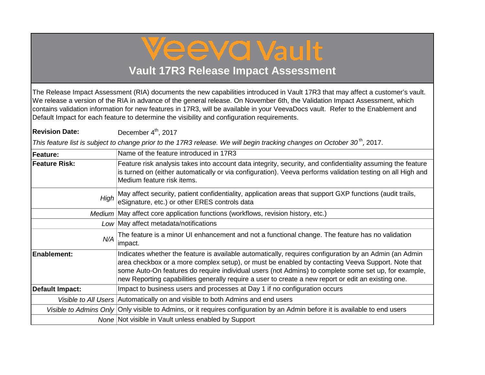## Veeva Vault

## **Vault 17R3 Release Impact Assessment**

The Release Impact Assessment (RIA) documents the new capabilities introduced in Vault 17R3 that may affect a customer's vault. We release a version of the RIA in advance of the general release. On November 6th, the Validation Impact Assessment, which contains validation information for new features in 17R3, will be available in your VeevaDocs vault. Refer to the Enablement and Default Impact for each feature to determine the visibility and configuration requirements.

**Revision Date:** December  $4<sup>th</sup>$ , 2017

*This feature list is subject to change prior to the 17R3 release. We will begin tracking changes on October 30<sup>th</sup>, 2017.* 

| <b>Feature:</b>      | Name of the feature introduced in 17R3                                                                                                                                                                                                                                                                                                                                                                                     |
|----------------------|----------------------------------------------------------------------------------------------------------------------------------------------------------------------------------------------------------------------------------------------------------------------------------------------------------------------------------------------------------------------------------------------------------------------------|
| <b>Feature Risk:</b> | Feature risk analysis takes into account data integrity, security, and confidentiality assuming the feature<br>is turned on (either automatically or via configuration). Veeva performs validation testing on all High and<br>Medium feature risk items.                                                                                                                                                                   |
| High                 | May affect security, patient confidentiality, application areas that support GXP functions (audit trails, eSignature, etc.) or other ERES controls data                                                                                                                                                                                                                                                                    |
|                      | Medium   May affect core application functions (workflows, revision history, etc.)                                                                                                                                                                                                                                                                                                                                         |
|                      | Low May affect metadata/notifications                                                                                                                                                                                                                                                                                                                                                                                      |
| N/A                  | The feature is a minor UI enhancement and not a functional change. The feature has no validation<br>impact.                                                                                                                                                                                                                                                                                                                |
| <b>Enablement:</b>   | Indicates whether the feature is available automatically, requires configuration by an Admin (an Admin<br>area checkbox or a more complex setup), or must be enabled by contacting Veeva Support. Note that<br>some Auto-On features do require individual users (not Admins) to complete some set up, for example,<br>new Reporting capabilities generally require a user to create a new report or edit an existing one. |
| Default Impact:      | Impact to business users and processes at Day 1 if no configuration occurs                                                                                                                                                                                                                                                                                                                                                 |
|                      | Visible to All Users Automatically on and visible to both Admins and end users                                                                                                                                                                                                                                                                                                                                             |
|                      | Visible to Admins Only Only visible to Admins, or it requires configuration by an Admin before it is available to end users                                                                                                                                                                                                                                                                                                |
|                      | None Not visible in Vault unless enabled by Support                                                                                                                                                                                                                                                                                                                                                                        |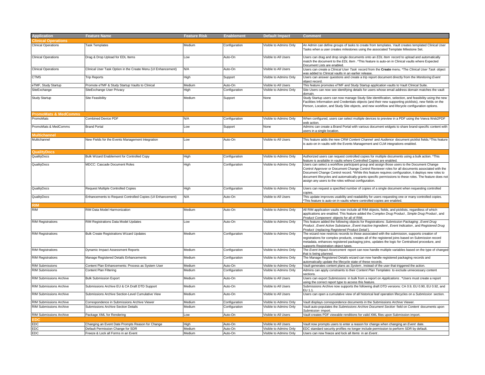| <b>Application</b>              | <b>Feature Name</b>                                           | <b>Feature Risk</b> | <b>Enablement</b> | <b>Default Impact</b>  | <b>Comment</b>                                                                                                                                                                                                                                                                                                                                                                                                                                                           |  |
|---------------------------------|---------------------------------------------------------------|---------------------|-------------------|------------------------|--------------------------------------------------------------------------------------------------------------------------------------------------------------------------------------------------------------------------------------------------------------------------------------------------------------------------------------------------------------------------------------------------------------------------------------------------------------------------|--|
| <b>linical Operations</b>       |                                                               |                     |                   |                        |                                                                                                                                                                                                                                                                                                                                                                                                                                                                          |  |
| <b>Clinical Operations</b>      | <b>Task Templates</b>                                         | Medium              | Configuration     | Visible to Admins Only | An Admin can define groups of tasks to create from templates. Vault creates templated Clinical User<br>Tasks when a user creates milestones using the associated Template Milestone Set.                                                                                                                                                                                                                                                                                 |  |
| <b>Clinical Operations</b>      | Drag & Drop Upload for EDL Items                              | Low                 | Auto-On           | Visible to All Users   | Users can drag and drop single documents onto an EDL Item record to upload and automatically<br>match the document to the EDL Item. *This feature is auto-on in Clinical vaults where Expected<br>Document Lists are enabled                                                                                                                                                                                                                                             |  |
| <b>Clinical Operations</b>      | Clinical User Task Option in the Create Menu (UI Enhancement) | N/A                 | Auto-On           | Visible to All Users   | Users can create a Clinical User Task record from the Create menu. *The Clinical User Task object<br>was added to Clinical vaults in an earlier release.                                                                                                                                                                                                                                                                                                                 |  |
| CTMS                            | <b>Trip Reports</b>                                           | High                | Support           | Visible to Admins Only | Users can answer questions and create a trip report document directly from the Monitoring Event<br>object record                                                                                                                                                                                                                                                                                                                                                         |  |
| TMF, Study Startup              | Promote eTMF & Study Startup Vaults to Clinical               | Medium              | Auto-On           | Visible to All Users   | This feature promotes eTMF and Study Startup application vaults to Vault Clinical Suite.                                                                                                                                                                                                                                                                                                                                                                                 |  |
| SiteExchange                    | SiteExchange User Privacy                                     | ligh                | Configuration     | Visible to Admins Only | Site Users can now see identifying details for users whose email address domain matches the vault<br>domair                                                                                                                                                                                                                                                                                                                                                              |  |
| <b>Study Startup</b>            | Site Feasibility                                              | Medium              | Support           | None                   | Study Startup users can now manage Study Site identification, selection, and feasibility using the new<br>Facilities Information and Credentials objects (and their new supporting picklists), new fields on the<br>Person, Location, and Study Site objects, and new workflow and lifecycle configuration options.                                                                                                                                                      |  |
| <b>PromoMats &amp; MedComms</b> |                                                               |                     |                   |                        |                                                                                                                                                                                                                                                                                                                                                                                                                                                                          |  |
| PromoMats                       | <b>Combined Device PDF</b>                                    | N/A                 | Configuration     | Visible to Admins Only | When configured, users can select multiple devices to preview in a PDF using the Veeva Web2PDF<br>web action.                                                                                                                                                                                                                                                                                                                                                            |  |
| PromoMats & MedComms            | <b>Brand Portal</b>                                           | Low                 | Support           | None                   | Admins can create a Brand Portal with various document widgets to share brand-specific content with<br>users in a single location.                                                                                                                                                                                                                                                                                                                                       |  |
| <b>Aultichannel</b>             |                                                               |                     |                   |                        |                                                                                                                                                                                                                                                                                                                                                                                                                                                                          |  |
| Multichannel                    | New Fields for the Events Management Integration              | Low                 | Auto-On           | Visible to All Users   | This feature adds the new CRM Content Channel and Audience document picklist fields.*This feature<br>is auto-on in vaults with the Events Management and CLM integrations enabled.                                                                                                                                                                                                                                                                                       |  |
| <b>JualityDocs</b>              |                                                               |                     |                   |                        |                                                                                                                                                                                                                                                                                                                                                                                                                                                                          |  |
| QualityDocs                     | Bulk Wizard Enablement for Controlled Copy                    | High                | Configuration     | Visible to Admins Only | Authorized users can request controlled copies for multiple documents using a bulk action. *This<br>feature is available in vaults where Controlled Copies are enabled                                                                                                                                                                                                                                                                                                   |  |
| QualityDocs                     | <b>MDCC: Cascade Document Roles</b>                           | High                | Configuration     | Visible to Admins Only | Users can select a workflow participant group and assign those users to the Document Change<br>Control Approver or Document Change Control Reviewer roles for all documents associated with the<br>Document Change Control record. *While this feature requires configuration, it deploys new roles to<br>document lifecycles and automatically grants specific permissions to these roles. The feature does not<br>assign any users to the roles without configuration. |  |
| QualityDocs                     | <b>Request Multiple Controlled Copies</b>                     | High                | Configuration     | Visible to Admins Only | Users can request a specified number of copies of a single document when requesting controlled<br>copies                                                                                                                                                                                                                                                                                                                                                                 |  |
| QualityDocs                     | Enhancements to Request Controlled Copies (UI Enhancement)    | N/A                 | Auto-On           | Visible to All Users   | This update improves usability and readability for users requesting one or many controlled copies.<br>*This feature is auto-on in vaults where controlled copies are enabled                                                                                                                                                                                                                                                                                             |  |
|                                 |                                                               |                     |                   |                        |                                                                                                                                                                                                                                                                                                                                                                                                                                                                          |  |
| <b>RIM</b>                      | RIM Data Model Harmonization                                  | Medium              | Auto-On           | Visible to Admins Only | All RIM application vaults now include all RIM objects, fields, and picklists, regardless of which<br>applications are enabled. This feature added the Complex Drug Product, Simple Drug Product, and<br>Product Component objects for all of RIM.                                                                                                                                                                                                                       |  |
| <b>RIM Registrations</b>        | RIM Registrations Data Model Updates                          | Low                 | Auto-On           | Visible to Admins Only | This feature added the following objects for Registrations: Submission Packaging, Event Drug<br>Product, Event Active Substance, Event Inactive Ingredient, Event Indication, and Registered Drug<br>Product (replacing Registered Product Detail).                                                                                                                                                                                                                      |  |
| <b>RIM Registrations</b>        | <b>Bulk Create Registrations Wizard Updates</b>               | Medium              | Configuration     | Visible to Admins Only | The wizard now restricts records to those associated with the submission, supports creation of<br>registrations for complex products, creates all of the registered joins based on Submission record<br>metadata, enhances registered packaging joins, updates the logic for Centralised procedure, and<br>supports Registration object types.                                                                                                                           |  |
| <b>RIM Registrations</b>        | Dynamic Impact Assessment Reports                             | Medium              | Configuration     | Visible to Admins Only | The Event Impact Assessment report can now handle multiple variables based on the type of changed<br>that is being planned.                                                                                                                                                                                                                                                                                                                                              |  |
| <b>RIM Registrations</b>        | Manage Registered Details Enhancements                        | Medium              | Configuration     | Visible to Admins Only | The Manage Registered Details wizard can now handle registered packaging records and<br>automatically update the lifecycle state of these records.                                                                                                                                                                                                                                                                                                                       |  |
| <b>RIM Submissions</b>          | Content Plan Enhancements: Process as System User             | Medium              | Auto-On           | Visible to Admins Only | Vault generates content plans as System, instead of the user that triggered the action.                                                                                                                                                                                                                                                                                                                                                                                  |  |
| <b>RIM Submissions</b>          | Content Plan Filtering                                        | Medium              | Configuration     | Visible to Admins Only | Admins can apply constraints to their Content Plan Templates to exclude unnecessary content<br>ections                                                                                                                                                                                                                                                                                                                                                                   |  |
| RIM Submissions Archive         | <b>Bulk Submission Export</b>                                 | Medium              | Auto-On           | Visible to All Users   | Users can export Submissions in bulk from a report on Applications. *Users must create a report<br>using the correct report type to access this feature.                                                                                                                                                                                                                                                                                                                 |  |
| <b>RIM Submissions Archive</b>  | Submissions Archive EU & CA Draft DTD Support                 | Medium              | Auto-On           | Visible to All Users   | Submissions Archive now supports the following draft DTD versions: CA 0.9, EU 0.90, EU 0.92, and<br>FII 11                                                                                                                                                                                                                                                                                                                                                               |  |
| <b>RIM Submissions Archive</b>  | Submissions Archive Section-Level Cumulative View             | Medium              | Auto-On           | Visible to All Users   | Users can open a cumulative view of all historical leaf operation lifecycles on a Submission section.                                                                                                                                                                                                                                                                                                                                                                    |  |
| <b>RIM Submissions Archive</b>  | Correspondence in Submissions Archive Viewer                  | Medium              | Configuration     | Visible to Admins Only | Vault displays correspondence documents in the Submissions Archive Viewer.                                                                                                                                                                                                                                                                                                                                                                                               |  |
| <b>RIM Submissions Archive</b>  | Submissions Archive Section Details                           | Medium              | Configuration     | Visible to Admins Only | Vault auto-populates the Submissions Archive Document Section field on Content documents upon<br>Submission import                                                                                                                                                                                                                                                                                                                                                       |  |
| <b>RIM Submissions Archive</b>  | Package XML for Rendering                                     | Low                 | Auto-On           | Visible to All Users   | Vault creates PDF viewable renditions for valid XML files upon Submission import.                                                                                                                                                                                                                                                                                                                                                                                        |  |
|                                 |                                                               |                     |                   |                        |                                                                                                                                                                                                                                                                                                                                                                                                                                                                          |  |
| EDC                             | Changing an Event Date Prompts Reason for Change              | High                | Auto-On           | Visible to All Users   | Vault now prompts users to enter a reason for change when changing an Event date.                                                                                                                                                                                                                                                                                                                                                                                        |  |
| EDC                             | Default Permission Change for SDR                             | Medium              | Auto-On           | Visible to Admins Only | EDC standard security profiles no longer include permission to perform SDR by default.                                                                                                                                                                                                                                                                                                                                                                                   |  |
| EDC                             | Freeze & Lock all Forms in an Event                           | Medium              | Auto-On           | Visible to Admins Only | Users can now freeze and lock all Items in an Event.                                                                                                                                                                                                                                                                                                                                                                                                                     |  |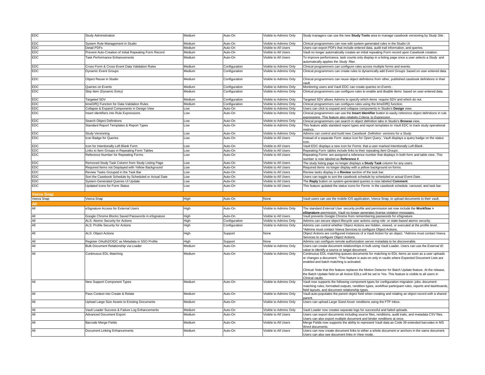| EDC        | <b>Study Administration</b>                            | Medium | Auto-On       | Visible to Admins Only | Study managers can use the new Study Tools area to manage casebook versioning by Study Site                                                                                                                                                  |
|------------|--------------------------------------------------------|--------|---------------|------------------------|----------------------------------------------------------------------------------------------------------------------------------------------------------------------------------------------------------------------------------------------|
| EDC        | System Rule Management in Studio                       | Medium | Auto-On       | Visible to Admins Only | Clinical programmers can now edit system-generated rules in the Studio UI.                                                                                                                                                                   |
| EDC        | Detail PDFs                                            | Medium | Auto-On       | Visible to All Users   | Users can export PDFs that include entered data, audit trail information, and queries.                                                                                                                                                       |
| EDC        | Prevent Auto-Creation of Initial Repeating Form Record | Medium | Auto-On       | Visible to All Users   | Vault no longer automatically creates an initial repeating Form record upon Casebook creation.                                                                                                                                               |
| EDC        | <b>Task Performance Enhancements</b>                   | Medium | Auto-On       | Visible to All Users   | To improve performance, task counts only display in a listing page once a user selects a Study and<br>automatically applies the Study filter.                                                                                                |
| EDC        | Cross-Form & Cross-Event Data Validation Rules         | Medium | Configuration | Visible to Admins Only | Clinical programmers can configure rules across multiple forms and events.                                                                                                                                                                   |
| <b>EDC</b> | Dynamic Event Groups                                   | Medium | Configuration | Visible to Admins Only | Clinical programmers can create rules to dynamically add Event Groups based on user-entered data.                                                                                                                                            |
| EDC        | Object Reuse in Studio                                 | Medium | Configuration | Visible to Admins Only | Clinical programmers can reuse object definitions from other, published casebook definitions in their                                                                                                                                        |
| EDC        | Queries on Events                                      | Medium | Configuration | Visible to Admins Only | Monitoring users and Vault EDC can create queries on Events                                                                                                                                                                                  |
| EDC        | Skip Item (Dynamic Entry)                              | Medium | Configuration | Visible to Admins Only | Clinical programmers can configure rules to enable and disable Items based on user-entered data.                                                                                                                                             |
| EDC        | Targeted SDV                                           | Medium | Configuration | Visible to Admins Only | Targeted SDV allows Admins to specify which Items require SDV and which do not.                                                                                                                                                              |
| EDC        | timeDiff() Function for Data Validation Rules          | Medium | Configuration | Visible to Admins Only | Clinical programmers can configure rules using the timeDiff() function.                                                                                                                                                                      |
| EDC        | Collapse & Expand Components in Design View            | Low    | Auto-On       | Visible to Admins Only | Users can click to expand and collapse components in Studio's Design view.                                                                                                                                                                   |
| EDC        | nsert Identifiers into Rule Expressions                | Low    | Auto-On       | Visible to Admins Only | Clinical programmers can use the Insert Identifier button to easily reference object definitions in rule<br>expressions. This feature also relabels Criteria to Expression                                                                   |
| EDC        | Search Object Definitions                              | Low    | Auto-On       | Visible to Admins Only | Clinical programmers can search in object definition tabs in Studio's Browse view.                                                                                                                                                           |
| EDC        | Standard Report Templates & Report Types               | Low    | Auto-On       | Visible to Admins Only | This feature adds standard report types and report templates to Vault EDC to track study operational<br>metrics                                                                                                                              |
| EDC        | Study Versioning                                       | Low    | Auto-On       | Visible to Admins Only | Admins can control and build new Casebook Definition versions for a Study.                                                                                                                                                                   |
| EDC        | con Badge for Queries                                  | Low    | Auto-On       | Visible to All Users   | Instead of a separate Form status icon for Open Query, Vault displays a query badge on the status                                                                                                                                            |
| EDC        | con for Intentionally Left Blank Form                  | Low    | Auto-On       | Visible to All Users   | Vault EDC displays a new icon for Forms that a user marked Intentionally Left Blank                                                                                                                                                          |
| EDC        | Links to Item Groups in Repeating Form Tables          | Low    | Auto-On       | Visible to All Users   | Repeating Form tables include links to their repeating Item Groups.                                                                                                                                                                          |
| EDC        | Reference Number for Repeating Forms                   | Low    | Auto-On       | Visible to All Users   | Repeating Forms are assigned a reference number that displays in both form and table view. This<br>number is now labeled as Reference #.                                                                                                     |
| EDC        | Removed Study Task Column from Study Listing Page      | Low    | Auto-On       | Visible to All Users   | The study listing page no longer displays a Study Task column for any users.                                                                                                                                                                 |
| EDC        | Required Items not Displayed with Yellow Background    | Low    | Auto-On       | Visible to All Users   | Required Items no longer display with a yellow background on forms.                                                                                                                                                                          |
| EDC        | Review Tasks Grouped in the Task Bar                   | Low    | Auto-On       | Visible to All Users   | Review tasks display in a Review section of the task bar                                                                                                                                                                                     |
| EDC        | Sort the Casebook Schedule by Scheduled or Actual Date | Low    | Auto-On       | Visible to All Users   | Users can toggle to sort the casebook schedule by scheduled or actual Event Date.                                                                                                                                                            |
| EDC        | System-Generated Queries UI Update                     | Low    | Auto-On       | Visible to All Users   | The Reply button on system-generated queries is now labeled Comment.                                                                                                                                                                         |
|            |                                                        |        |               |                        |                                                                                                                                                                                                                                              |
| EDC        | Jpdated Icons for Form Status                          | Low    | Auto-On       | Visible to All Users   | This feature updated the status icons for Forms in the casebook schedule, carousel, and task bar.                                                                                                                                            |
| Veeva Sna  |                                                        |        |               |                        |                                                                                                                                                                                                                                              |
| Veeva Snap | Veeva Snap                                             | High   | Auto-On       | None                   | Vault users can use the mobile iOS application, Veeva Snap, to upload documents to their vault.                                                                                                                                              |
|            |                                                        |        |               |                        |                                                                                                                                                                                                                                              |
| All        | eSignature Access for External Users                   | High   | Auto-On       | Visible to Admins Only | The standard External User security profile and permission set now include the Workflow ><br>eSignature permission. Vault no longer generates license violation messages                                                                     |
| All        | Google Chrome Blocks Saved Passwords in eSignature     | High   | Auto-On       | Visible to All Users   | Vault prevents Google Chrome from remembering passwords for eSignature.                                                                                                                                                                      |
| All        | ALS: Atomic Security for Actions                       | High   | Configuration | Visible to Admins Only | Admins can secure object lifecycle user actions using role- or state-based atomic security.                                                                                                                                                  |
| All        | ALS: Profile Security for Actions                      | High   | Configuration | Visible to Admins Only | Admins can control whether Object Actions are hidden, viewed, or executed at the profile level.                                                                                                                                              |
|            |                                                        |        |               |                        | Admins must contact Veeva Services to configure Object Actions.                                                                                                                                                                              |
| All        | <b>ALS: Object Actions</b>                             | High   | Support       | None                   | Object Actions are configured instances of a Vault Action for an object. *Admins must contact Veeva                                                                                                                                          |
| All        | Register OAuth2/OIDC as Metadata in SSO Profile        | High   | Support       | None                   | Services to configure Object Actions                                                                                                                                                                                                         |
| All        | Bulk Document Relationship via Loader                  | Medium | Auto-On       | Visible to Admins Only | Admins can configure remote authorization server metadata to be discoverable.<br>Users can create document relationships in bulk using Vault Loader. Users can use the External ID                                                           |
|            |                                                        |        |               |                        | alue to identify a source or target document.                                                                                                                                                                                                |
| All        | Continuous EDL Matching                                | Medium | Auto-On       | Visible to Admins Only | Continuous EDL matching queues documents for matching to EDL Items as soon as a user uploads<br>or changes a document. *This feature is auto-on only in vaults where Expected Document Lists are<br>enabled and batch matching is activated. |
|            |                                                        |        |               |                        | Clinical: Note that this feature replaces the Motion Detector for Batch Update feature. At the release,<br>the Batch Update field on all Active EDLs will be set to Yes. This feature is visible to all users in<br>Clinical vaults          |
| All        | New Support Component Types                            | Medium | Auto-On       | Visible to Admins Only | Vault now supports the following component types for configuration migration: jobs, document<br>matching rules, formatted outputs, rendition types, workflow participant rules, reports and dashboards,                                      |
| All        | Pass Context into Create & Relate                      | Medium | Auto-On       | Visible to Admins Only | field layouts, and document relationship types.<br>Vault auto-populates the parent object field when creating and relating an object record with a shared<br>carent                                                                          |
| All        | Upload Large Size Assets to Existing Documents         | Medium | Auto-On       | Visible to Admins Only | Users can upload Large Sized Asset renditions using the FTP Inbox.                                                                                                                                                                           |
| All        | /ault Loader Success & Failure Log Enhancements        | Medium | Auto-On       | Visible to Admins Only | Vault Loader now creates separate logs for successful and failed uploads.                                                                                                                                                                    |
| All        | <b>Advanced Document Export</b>                        | Medium | Auto-On       | Visible to All Users   | Users can export documents including source files, renditions, audit trails, and metadata CSV files.                                                                                                                                         |
| All        | Barcode Merge Fields                                   | Medium | Auto-On       | Visible to All Users   | Users can also export multiple document and binder renditions at once<br>Merge Fields now supports the ability to represent Vault data as Code 39 extended barcodes in MS                                                                    |
| All        | Document Linking Enhancements                          | Medium | Auto-On       | Visible to All Users   | Word documents<br>Users can now create document links to either a whole document or anchors in the same document.                                                                                                                            |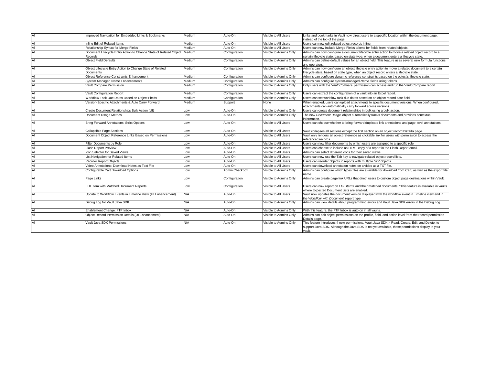| All | Improved Navigation for Embedded Links & Bookmarks                | Medium | Auto-On        | Visible to All Users   | Links and bookmarks in Vault now direct users to a specific location within the document page,<br>instead of the top of the page.                 |
|-----|-------------------------------------------------------------------|--------|----------------|------------------------|---------------------------------------------------------------------------------------------------------------------------------------------------|
| All | Inline Edit of Related Items                                      | Medium | Auto-On        | Visible to All Users   | Users can now edit related object records inline.                                                                                                 |
| All | Relationship Syntax for Merge Fields                              | Medium | Auto-On        | Visible to All Users   | Users can now include Merge Fields tokens for fields from related objects.                                                                        |
| All | Document Lifecycle Entry Action to Change State of Related Object | Medium | Configuration  | Visible to Admins Only | Admins can now configure a document lifecycle entry action to move a related object record to a                                                   |
|     | Records                                                           |        |                |                        | certain lifecycle state, based on state type, when a document enters a lifecycle state.                                                           |
| All | <b>Object Field Defaults</b>                                      | Medium | Configuration  | Visible to Admins Only | Admins can define default values for an object field. This feature uses several new formula functions                                             |
| All | Object Lifecycle Entry Action to Change State of Related          | Medium | Configuration  | Visible to Admins Only | and operators.<br>Admins can now configure an object lifecycle entry action to move a related document to a certain                               |
|     | Documents                                                         |        |                |                        | lifecycle state, based on state type, when an object record enters a lifecycle state.                                                             |
| All | Object Reference Constraints Enhancement                          | Medium | Configuration  | Visible to Admins Only | Admins can configure dynamic reference constraints based on the object's lifecycle state.                                                         |
| All | System Managed Name Enhancements                                  | Medium | Configuration  | Visible to Admins Only | Admins can configure system-managed Name fields using tokens.                                                                                     |
| All | Vault Compare Permission                                          | Medium | Configuration  | Visible to Admins Only | Only users with the Vault Compare permission can access and run the Vault Compare report.                                                         |
| All | Vault Configuration Report                                        | Medium | Configuration  | Visible to Admins Only | Users can extract the configuration of a vault into an Excel report.                                                                              |
| All | Workflow Task Due Dates Based on Obiect Fields                    | Medium | Configuration  | Visible to Admins Only | Users can set workflow task due dates based on an object record date field.                                                                       |
| All | Version-Specific Attachments & Auto Carry Forward                 | Medium | Support        | None                   | When enabled, users can upload attachments to specific document versions. When configured,                                                        |
|     |                                                                   |        |                |                        | attachments can automatically carry forward across versions.                                                                                      |
| All | Create Document Relationships Bulk Action (UI)                    | Low    | Auto-On        | Visible to Admins Only | Users can create document relationships in bulk using a bulk action.                                                                              |
| All | Document Usage Metrics                                            | Low    | Auto-On        | Visible to Admins Only | The new Document Usage object automatically tracks documents and provides contextual                                                              |
|     |                                                                   |        |                |                        | information.                                                                                                                                      |
| All | Bring Forward Annotations: Strict Options                         | Low    | Auto-On        | Visible to All Users   | Users can choose whether to bring forward duplicate link annotations and page-level annotations.                                                  |
| All | <b>Collapsible Page Sections</b>                                  | Low    | Auto-On        | Visible to All Users   | Vault collapses all sections except the first section on an object record Details page.                                                           |
| All | Document Object Reference Links Based on Permissions              | Low    | Auto-On        | Visible to All Users   | Vault only renders an object reference as clickable link for users with permission to access the<br>referenced records.                           |
| All | Filter Documents by Role                                          | Low    | Auto-On        | Visible to All Users   | Users can now filter documents by which users are assigned to a specific role.                                                                    |
| All | <b>Flash Report Preview</b>                                       | Low    | Auto-On        | Visible to All Users   | Users can choose to include an HTML copy of a report in the Flash Report email.                                                                   |
| All | <b>con Selector for Saved Views</b>                               | Low    | Auto-On        | Visible to All Users   | Admins can select different icons for their saved views.                                                                                          |
| All | List Navigation for Related Items                                 | Low    | Auto-On        | Visible to All Users   | Users can now use the Tab key to navigate related object record lists.                                                                            |
| All | Reorder Report Objects                                            | Low    | Auto-On        | Visible to All Users   | Users can reorder objects in reports with multiple "up" objects.                                                                                  |
| All | Video Annotations: Download Notes as Text File                    | Low    | Auto-On        | Visible to All Users   | Users can download annotation notes on a video as a TXT file.                                                                                     |
| All | Configurable Cart Download Options                                | Low    | Admin Checkbox | Visible to Admins Only | Admins can configure which types files are available for download from Cart, as well as the export file<br>name.                                  |
| All | Page Links                                                        | Low    | Configuration  | Visible to Admins Only | Admins can create page link URLs that direct users to custom object page destinations within Vault.                                               |
| All | EDL Item with Matched Document Reports                            | Low    | Configuration  | Visible to All Users   | Users can now report on EDL Items and their matched documents. *This feature is available in vaults<br>where Expected Document Lists are enabled. |
| All | Update to Workflow Events in Timeline View (UI Enhancement)       | N/A    | Auto-On        | Visible to All Users   | Vault now updates the document version displayed with the workflow event in Timeline view and in                                                  |
|     |                                                                   |        |                |                        | the Workflow with Document report type.                                                                                                           |
| All | Debug Log for Vault Java SDK                                      | N/A    | Auto-On        | Visible to Admins Only | Admins can view details about programming errors and Vault Java SDK errors in the Debug Log.                                                      |
| All | Enablement Change: FTP Inbox                                      | N/A    | Auto-On        | Visible to Admins Only | With this feature, the FTP Inbox is auto-on in all vaults.                                                                                        |
| All | Object Record Permission Details (UI Enhancement)                 | N/A    | Auto-On        | Visible to Admins Only | Admins can edit object permissions on the profile, field, and action level from the record permission<br>Details page.                            |
| All | Vault Java SDK Permissions                                        | N/A    | Auto-On        | Visible to Admins Only | This feature introduces 4 new permissions, Vault Java SDK > Read, Create, Edit, and Delete, to                                                    |
|     |                                                                   |        |                |                        | support Java SDK. Although the Java SDK is not yet available, these permissions display in your                                                   |
|     |                                                                   |        |                |                        | vault.                                                                                                                                            |